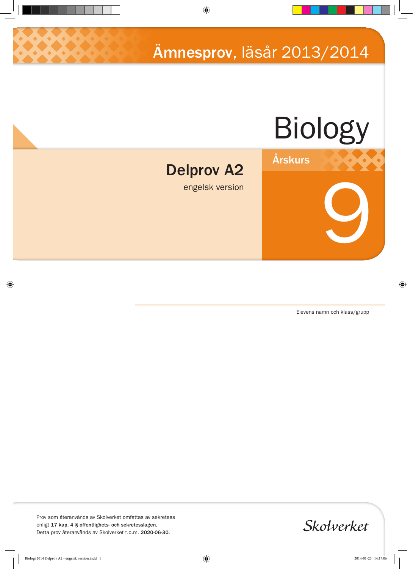Ämnesprov, läsår 2013/2014



Elevens namn och klass/grupp

Prov som återanvänds av Skolverket omfattas av sekretess enligt 17 kap. 4 § offentlighets- och sekretesslagen. Detta prov återanvänds av Skolverket t.o.m. 2020-06-30.

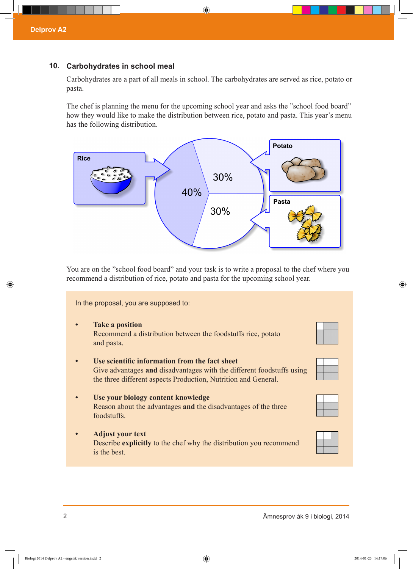## **Carbohydrates in school meal 10.**

Carbohydrates are a part of all meals in school. The carbohydrates are served as rice, potato or pasta.

The chef is planning the menu for the upcoming school year and asks the "school food board" how they would like to make the distribution between rice, potato and pasta. This year's menu has the following distribution.



You are on the "school food board" and your task is to write a proposal to the chef where you recommend a distribution of rice, potato and pasta for the upcoming school year.

In the proposal, you are supposed to: **• Take a position** Recommend a distribution between the foodstuffs rice, potato and pasta. **• Use scientific information from the fact sheet** Give advantages **and** disadvantages with the different foodstuffs using the three different aspects Production, Nutrition and General. **• Use your biology content knowledge** Reason about the advantages **and** the disadvantages of the three foodstuffs. **• Adjust your text** Describe **explicitly** to the chef why the distribution you recommend is the best.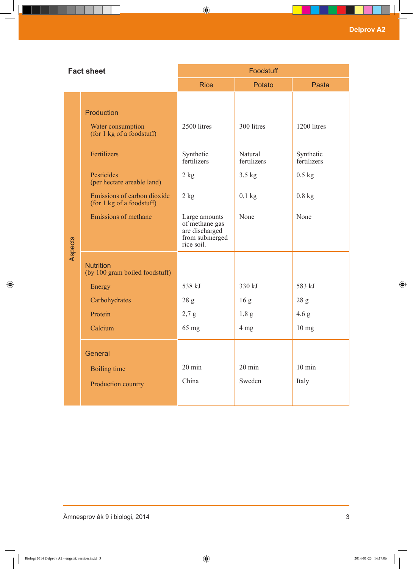| <b>Fact sheet</b> |                                                              | Foodstuff                                                                         |                        |                          |
|-------------------|--------------------------------------------------------------|-----------------------------------------------------------------------------------|------------------------|--------------------------|
|                   |                                                              | <b>Rice</b>                                                                       | Potato                 | Pasta                    |
|                   | Production<br>Water consumption<br>(for 1 kg of a foodstuff) | 2500 litres                                                                       | 300 litres             | 1200 litres              |
|                   | Fertilizers                                                  | Synthetic<br>fertilizers                                                          | Natural<br>fertilizers | Synthetic<br>fertilizers |
|                   | Pesticides<br>(per hectare areable land)                     | $2$ kg                                                                            | $3,5$ kg               | $0,5$ kg                 |
|                   | Emissions of carbon dioxide<br>(for 1 kg of a foodstuff)     | $2$ kg                                                                            | $0,1$ kg               | $0,8$ kg                 |
| Aspects           | Emissions of methane                                         | Large amounts<br>of methane gas<br>are discharged<br>from submerged<br>rice soil. | None                   | None                     |
|                   | <b>Nutrition</b><br>(by 100 gram boiled foodstuff)           |                                                                                   |                        |                          |
|                   | Energy                                                       | 538 kJ                                                                            | 330 kJ                 | 583 kJ                   |
|                   | Carbohydrates                                                | 28g                                                                               | 16 <sub>g</sub>        | 28g                      |
|                   | Protein                                                      | $2,7$ g                                                                           | 1,8g                   | 4,6g                     |
|                   | Calcium                                                      | 65 mg                                                                             | 4 mg                   | 10 mg                    |
|                   | General                                                      |                                                                                   |                        |                          |
|                   | <b>Boiling time</b>                                          | $20 \text{ min}$                                                                  | $20 \text{ min}$       | $10 \text{ min}$         |
|                   | Production country                                           | China                                                                             | Sweden                 | Italy                    |
|                   |                                                              |                                                                                   |                        |                          |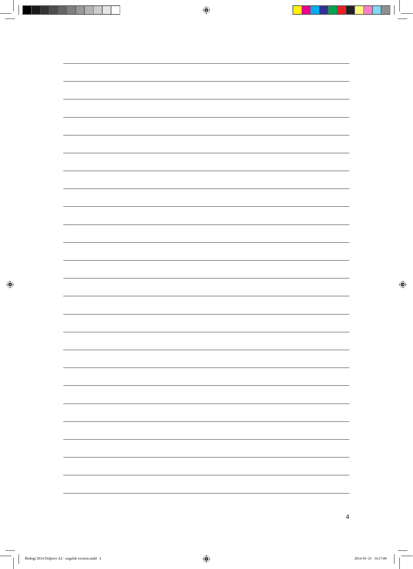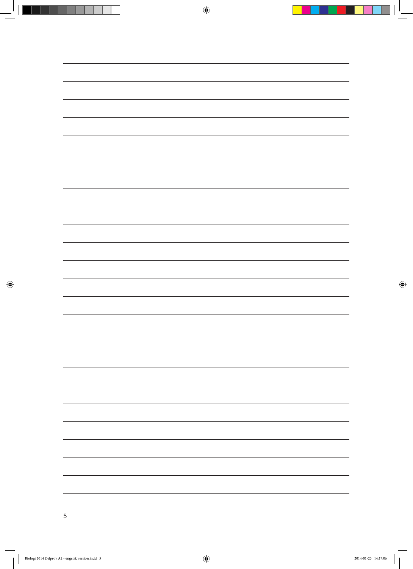